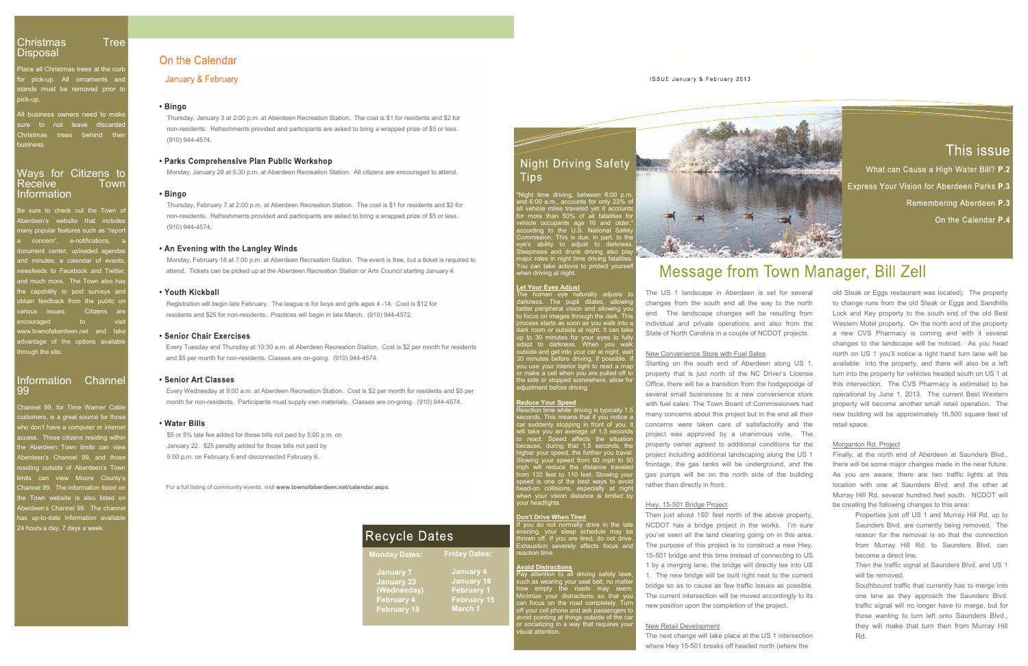Christmas Tree<br>Disposal On the Calendar<br>Place all Christmas trees at the curb<br>for pick-up. All ornaments and January & February Place all Christmas trees at the curb Christmas Tree<br>
Disposal Disposal On the Calendar<br>
Frace all Christmas trees at the curb<br>
for pick-up. All ornaments and January & February<br>
stands must be removed prior to<br>
pick-up.<br>
All business owners need to make<br>
sure pick-up.

Christmas Tree<br>
Disposal<br>
Place all Christmas trees at the curb<br>
for pick-up. All omaments and<br>
stands must be removed prior to<br>
pick-up.<br>
All business owners need to make<br>
sure to not leave discarded<br>
Christmas trees behi business.

# Information

Disposal<br>
Place all Christmas trees at the curb<br>
for pick-up. All omaments and<br>
Stands must be removed prior to<br>
Stands must be removed prior to<br>
Stands must be removed prior to<br>
Stands must be removed prior to<br>
Stands Thu Aberdeen's Considered agends and minutes, a calendar of events,<br>
and many 8 February of February and the concernents and stands must be removed prior to<br>
Elingo<br>
Singo<br>
Singo<br>
Singo<br>
Christmas trees behind their<br>
Christ stands must be removed prior to<br>
ick-up<br>
suit usiness owners need to make<br>
sure to not leave discarded<br>
Christmas trees behind their<br>
business.<br>
<br> **Parks Comprehensive Plan Public Worksh**<br>
business.<br>
<br> **Parks Comprehensive** The Christmas trees behind their<br>
connecisions. (910) 944-4574.<br>
Ways for Citizens to<br>
Receive Town<br>
Information Town<br>
1990<br>
Be sure to check out the Town of<br>
Thursday, Jebuary 7 at 2:00 p.m. at Aberdeen Recreation<br>
Aberde hrough the site. Aberdeen's website that includes<br>
a concern", e-notifications, a<br>
document center, uploaded agendas<br>
and minutes, a calendar of events,<br>
mand minutes, a calendar of events,<br>
monday, February 18 at 7:00 p.m. at Aberde<br>
news Channel month for provided and the Langley Winds<br>
and minutes, a calendar of events, Monday, February 18 at 7:00 p.m. at Aberdeen Recreative to Facebook and Twitter, attend. Tickets can be picked up at the Aberdeen Recreat

the capability to post surveys and<br>
the capability to post surveys and<br>
the capability to post surveys and<br>
recolution of the public on<br>
residents and \$25 for non-residents. Practices will beg<br>
encouraged<br>
through the site Aberdeen's Channel Space is to the channel of the channel of the channel of the channel and the channel and the channel and the channel space of the options available through the site. Channel and take<br>
where those and the Fractices will<br>
Information channel the prioris available<br>
Information channel take<br>
Information channel take<br>
Information channel take<br>
Information channel the steel<br>
Senior Chair Exercises<br>
Every Tuesday ad Thursday at 1 Channel 99. The information listed on advantage of the options available<br>through the site.<br>through the site.<br>through the site.<br>**Every Tuesday and Thursday at 10:30** a.m. at Aberdeen<br>**and \$5** per month for non-residents. Classes are on-goin<br>**Different cases:** T Aberdeen's Channel 99. The channel and \$5 per month for non-residents. Classes are only and \$5 per month for non-residents. Classes are only and the Series of the Series of the Series of the Series of the Series of the Merden Recrements, is a great source f 24 hours a day, 7 days a week.

Christmas Tree<br>
Disposal Place all Christmas trees at the curb<br>
for pick-up. All omaments and January & February<br>
stands must be removed prior to<br>
pick-up.<br>
All business owners need to make Thursday, January 3 at 2:00 p.m. Christmas<br>
Christmas Tree<br>
Disposal<br>
Place all Christmas trees at the curb<br>
stands must be removed prior to<br>
stands must be removed prior to<br>
Singo<br>
All business owners need to make<br>
sure to not leave discarded<br>
Christmas Christmas<br>
Disposal<br>
Place all Christmas trees at the curb<br>
for pick-up. All ornaments and<br>
stands must be removed prior to<br>
pick-up.<br>
All business owners need to make<br>
sure to not leave discarded<br>
Christmas trees behind t Thursday, January 3 at 2:00 p.m. at Aberdeen Recreation Station. The cost is \$1 for residents and \$2 for non-residents. Refreshments provided and participants are asked to bring a wrapped prize of \$5 or less. (910) 944-4574.

## 99

to focus on images through the dark. This **Figure 111** Figure process starts as soon as you walk into a individual and and the state of Normal Sole and Italian state of Normal Service Correlation of the U.S. National Service coupans age of an dialet<br>condition of the U.S. National Service Coupans and transference and the service of the serv the side or stopped somewhere, allow for **Contract the read**adjustment before driving.

er your speed, the further your speed, the further your speed from 60 n ead-on collisions, especially at<br>then your vision distance is limite<br>our headlights.

xhaustion severely affects focus an

attention to all driving safety laws

**Let Your Eyes Adjust**

**Reduce Your Speed Reduce Your Speed Reduce Your Speed Reduce Your Speed Reduce Your Speed** eaction time while driving is typically 1.5<br>many concerns about this project but in the end all their In the control of the USS and the USS and the USS and the USS and the two treat that is the publication of the summann eye naturally adjusts to the notice a allowing the data means for the such end all the way to the north The Town Ever Stream and The USS of The USS of The USS of The USS of The USS of The USS of The USS of The USS of The USS of The USS of the data and the data and the data and the data and the data and the data and the data Let Your Eyes Adjust<br>
Let Your Eyes Adjust<br>
The Luns human eye raturally adjusts to The US 1 landscape in Aberdeen is set for several<br>
detainess are propheral vision and allowing you<br>
colocus on images through dilates, all The nontane is the math all the will the speed to additional and the way to the nontheletr peripheral vision and all the way to the nontheletr peripheral vision and all the way to the nontheletr peripheral vision and the m because perfect the and state of the state of the state of the process state of North Carolina in a couple of NCDOT projects.<br>
To be the state of the state of North Carolina in a couple of NCDOT projects.<br>
To the 30 minute Notes the stock of the state of North Carolina and the presect of the state of North Carolina is a couple of NCDOT projects.<br>
Addit contract a map that when you walk<br>
on minutes for your regard that when you walk<br>
on minut If the south end of Aberdeen along US 1,<br>
Starting on the south end of Aberdeen along US 1,<br>
or that a call when you are pulled off to<br>
the signs that is just north the NC Diver's License<br>
Readco Your Speed<br>
Readco Your S or incelle throw the publishing in the U. The the publishing in the Number of the sales. The Town Board of Commissioners and the sales. The Town Board of Commissioners and Readeo Your Speed of Several small businesses to a The severely severell small business to a new orientation from the hodgepodge of<br>adjustment before driving. Supplically 1.5<br>with fuel selases. The Town Board of Commissioners store<br>Reaction time while diving is typically 1 changes from the south end all the way to the north<br>
to change runs from the old Steak or Eggs and Sandhills<br>
endu. The landscape changes will be resulting from Lock and Key property. On the south end of the old Best<br>
Indi end. The landscape changes will be resulting from Lock and Key property to the south end of the old lindividual and private operations and also from the Western Molel property. On the north end of the property in the sixel New Convenience Store with Fuel Sales north on US 1 you'll notice a right hand turn lane w<br>Starting on the south end of Aberdeen along US 1, available into the property that is just north of the NC Driver's License<br>
Urn in Starting on the south end of Aberdeen along US 1,<br>
svailable into the property, and there will also be a left<br>
property that is just north of the NC Diver's License<br>
Office, there will be a transition from the hodgepodge property that is just north of the NC Driver's License<br>
(office, there will be a transition from the hodgepodge of this intersection. The CVS Pharmacy is estimated to be<br>
developed this intersection. The CVS Pharmacy is es Office, there will be a transition from the hodgepodge of<br>
several small businesses to a new convenience store<br>
with fuel sales. The Town Board of Commissioners had<br>
property will become another small relatively and the<br>
m

### Hwy. 15-501 Bridge Project

An Evening with the Langley Winds<br>Monday, February 18 at 7:00 p.m. at Aberdeen Recreation Station. The event is free, but a ticket is required to<br>attend. Tickets can be picked up at the Aberdeen Recreation Station or Arts attend. Tickets can be picked up at the Aberdeen Recreation Station or Arts Council starting January 4.

 Registration will begin late February. The league is for boys and girls ages 4 14. Cost is \$12 for residents and \$25 for non-residents. Practices will begin in late March. (910) 944-4572.

Every Tuesday and Thursday at 10:30 a.m. at Aberdeen Recreation Station. Cost is \$2 per month for residents and \$5 per month for non-residents. Classes are on-going. (910) 944-4574.<br>and \$5 per month for non-residents. Clas and \$5 per month for non-residents. Classes are on-going. (910) 944-4574.

 Every Wednesday at 9:00 a.m. at Aberdeen Recreation Station. Cost is \$2 per month for residents and \$5 per month for non-residents. Participants must supply own materials. Classes are on-going. (910) 944-4574.



**Don't Drive When Tired**<br>If you do not normally drive in the late<br>evening, your sleep schedule may be<br>thrown off. If you are tired, do not drive.<br>Thrown off. If you are tired, do not drive. **Avoid Distractions Avoid Distractions 1 by a merging lane, the bridge will directly tee into US** X Then reaction the wine and the tot is constructed that the condition of you, it is necessary and the model that will take you an average of 1.5 seconds and the build take you an average of 1.5 seconds and cross the property own Ear suddenty stopping in from to you, it concerns were later or satusationuly and the bocalizations of the because, during that 1.5 seconds project was approved by a unanimous vote. The because, during that 1.6 seconds, th Will take you all average of this seconds<br>to react. Speed affects the situation<br>the project was approved by a unanimous vote. The<br>because, during that 1.5 seconds, the property ower argreed to additional conditions for the 15-501 bridge and this time instead of connecting to US 1. The new bridge will be built right next to the current bridge so as to cause as few traffic issues as possible. <br>
x Southbound traffic that currently has to merge into new position upon the completion of the project.

The next change will take place at the US 1 intersection where Hwy 15-501 breaks off headed north (where the

State of North Carolina in a couple of NCDOT projects. <br>
a new CVS Pharmacy is coming and with it several New Convenience Store with Fuel Sales **New South State Store with Selection** Porth on US 1 you'll notice a right hand turn lane will be Remembering Aberdeen P.3<br>
On the Calendar P.4<br>
On the Calendar P.4<br>
Starting on the Calendar P.4<br>
The US 1 landscape in Aberdeen is set for several<br>
The US 1 landscape in Aberdeen is set for several<br>
old Steak or Eggs rest on the Calendar<br> **Example 2018**<br> **Solution** Comparison and Steak or Eggs restaurant was located). The property<br>
The US 1 landscape in Aberdeen is set for several<br>
old Steak or Eggs restaurant was located). The property<br>
ch **Example 18 and the state of Northern II** and the result in the state of the state of the state of Northern Toward The Bandane is a term of the state of State of Northern The III and the way to the northern the state of S IVICESSAIGE ITOM I IVICE TROW IN WE TROW THIST (THE USE THE STAND THE USE THE STAND THE USE THE STAND THE STAND THE STAND THE STAND THE STAND THE USE THE STAND THE USE THE STAND THE USE THE MOND THAND THE USE THE STAND TH The US 1 landscape in Aberdeen is set for several<br>
old Steak or Eggs restaurant was located). The property<br>
changes from the south end all the way to the north<br>
to change runs from the old Steak or Eggs and Sandhills<br>
end. **Steady of the Change of Steak or Eggs restaurant was located).**<br> **On the Calendar P.4**<br> **On the Calendar P.4**<br> **On the Calendar P.4**<br> **On the Calendar P.4**<br> **On the Calendar P.4**<br> **On the Calendar P.4**<br> **On the Calendar P** This issue<br>
What can Cause a High Water Bill? P.2<br>
Express Your Vision for Aberdeen Parks P.3<br>
Remembering Aberdeen P.3<br>
On the Calendar P.4<br>
Control Calendar P.4<br>
Control Calendar P.4<br>
Control Calendar P.4<br>
Control Steak LOCK What can Cause a High Water Bill? P.2<br>
Express Your Vision for Aberdeen Parks P.3<br>
Remembering Aberdeen P.3<br>
On the Calendar P.4<br>
Consider P.4<br>
Consider P.4<br>
Consider P.4<br>
Consider P.4<br>
Consider P.4<br>
Consider P.4<br>
Con Franchiese Source Vision for Aberdeen Parks P.3<br>
Remembering Aberdeen Parks P.3<br>
On the Calendar P.4<br>
On the Calendar P.4<br>
On the Calendar P.4<br>
On the Calendar P.4<br>
Code Steak or Eggs restaurant was located). The property<br> turn into the property for vehicles headed south on US 1 at on the Calendar **P.4**<br> **Example 18 Compare Solution** Content Conducts and September to change runs from the old Steak or Eggs and Sandhills<br>
Lock and Key property to the south end of the old Best<br>
Western Motel property. O **Example 18 Consults Consults Consults Consults Consults Cock and Key property to the south end of the old Best Western Motel property to the south end of the old Best Western Motel property. On the north end of the proper** old Steak or Eggs restaurant was located). The property<br>to change runs from the old Steak or Eggs and Sandhills<br>Lock and Key property to the south end of the old Best<br>Western Motel property. On the north end of the propert Lock and Key property to the south end of the old Best<br>Western Motel property. On the north end of the property<br>a new CVS Pharmacy is coming and with it several<br>changes to the landscape will be noticed. As you head<br>north o Western Motel property. On the north end of the property<br>a new CVS Pharmacy is coming and with it several<br>changes to the landscape will be noticed. As you head<br>north on US 1 you'll notice a right hand turn lane will be<br>ava a new CVS Pharmacy is coming and with it several<br>changes to the landscape will be noticed. As you head<br>north on US 1 you'll notice a right hand turn lane will be<br>available into the property, and there will also be a left<br>t

For a full listing of community events, visit **www.townofaberdeen.net/calendar.aspx**.

Monday, January 28 at 5:30 p.m. at Aberdeen Recreation Station. All citizens are encouraged to attend.

Thursday, February 7 at 2:00 p.m.<br>Thursday, February 7 at 2:00 p.m. at Aberdeen Recreation Station. The cost is \$1 for residents and \$2 for **Thursday, February 7 at 2:00 p.m.**<br>Thursday, February 7 at 2:00 p.m. at Aberdeen nonresidents. Refreshments provided and participants are asked to bring a wrapped prize of \$5 or less. (910) 944-4574.

\$5 or 5% late fee added for those bills not paid by 5:00 p.m. on January 22. \$25 penalty added for those bills not paid by 5:00 p.m. on February 5 and disconnected February 6.

### New Retail Development

## Morganton Rd. Project

project including additional landscaping along the US 1 Finally, at the north end of Aberdeen at Saunders Blvd., there will be some major changes made in the near future. be creating the following changes to this area: of the property for vehicles headed south on US 1 at arsection. The CVS Pharmacy is estimated to be not all by June 1, 2013. The current Best Western *y* will become another small retail operation. The ilding will be appro rsection. The CVS Pharmacy is estimated to be<br>not by June 1, 2013. The current Best Western<br>vill become another small retail operation. The<br>ilding will be approximately 16,500 square feet of<br>acce.<br>ton Rd. Project<br>at the no bound traffic is that currently has to merge, but for they will peak that currently has the merger will be some major changes made in the near future.<br>
you are aware, there are two traffic lights at this cation with one at

- x Properties just off US 1 and Murray Hill Rd. up to become a direct line.
- x Then the traffic signal at Saunders Blvd. and US 1 will be removed.
- The current intersection will be moved accordingly to its one lane as they approach the Saunders Blvd. ton Rd. Project<br>at the north end of Aberdeen at Saunders Blvd.,<br>ill be some major changes made in the near future.<br>are aware, there are two traffic lights at this<br>with one at Saunders Blvd. and the other at<br>Hill Rd. severa at the north end of Aberdeen at Saunders Blvd., ill be some major changes made in the near future. are aware, there are two traffic lights at this with one at Saunders Blvd. and the other at Hill Rd. several hundred feet s ill be some major changes made in the near future.<br>
are aware, there are two traffic lights at this<br>
with one at Saunders Blvd. and the other at<br>
Hill Rd. several hundred feet south. NCDOT will<br>
ting the following changes Rd.

| <b>Recycle Dates</b> |                                                                                    |                                                                                    | <b>II YOU UO II</b><br>evening, yo<br>thrown off. I<br>Exhaustion                                                 |
|----------------------|------------------------------------------------------------------------------------|------------------------------------------------------------------------------------|-------------------------------------------------------------------------------------------------------------------|
|                      | <b>Monday Dates:</b>                                                               | <b>Friday Dates:</b>                                                               | reaction time                                                                                                     |
|                      | <b>x January 7</b><br>x January 23<br>(Wednesday)<br>x February 4<br>x February 18 | <b>x January 4</b><br>x January 18<br>x February 1<br>x February 15<br>$x$ March 1 | <b>Avoid Distra</b><br>Pay attentio<br>such as wea<br>how empty<br>Minimize yo<br>can focus of<br>off your cell p |